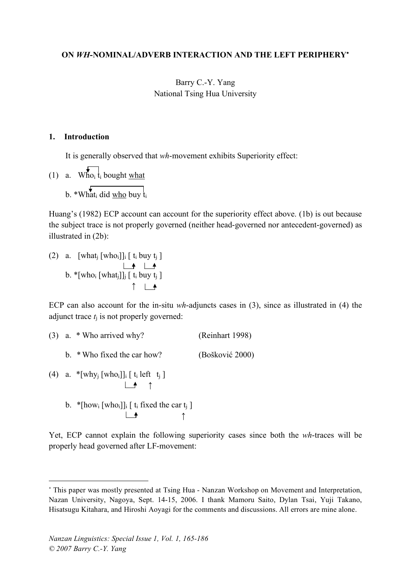#### **ON** *WH***-NOMINAL/ADVERB INTERACTION AND THE LEFT PERIPHERY**<sup>∗</sup>

### Barry C.-Y. Yang National Tsing Hua University

#### **1. Introduction**

It is generally observed that *wh*-movement exhibits Superiority effect:

(1) a. Who<sub>i</sub>  $t_i$  bought what b. \*Whati did who buy  $t_i$ 

Huang's (1982) ECP account can account for the superiority effect above. (1b) is out because the subject trace is not properly governed (neither head-governed nor antecedent-governed) as illustrated in (2b):

(2) a.  $[what_j [who_i]]_i [t_i buy t_j]$ b. \*[who<sub>i</sub> [what<sub>j</sub>]]<sub>j</sub> [ t<sub>i</sub> buy t<sub>j</sub> ] ↑

ECP can also account for the in-situ *wh*-adjuncts cases in (3), since as illustrated in (4) the adjunct trace  $t_i$  is not properly governed:

\n- (3) a. \* Who arrived why? (Reinhart 1998)
\n- b. \* Who fixed the car how? (Bošković 2000)
\n- (4) a. \*[why<sub>j</sub> [who<sub>i</sub>]]<sub>i</sub> [ t<sub>i</sub> left t<sub>j</sub> ]
\n- $$
\rightarrow
$$
 ^
\n- b. \*[how<sub>i</sub> [who<sub>i</sub>]]<sub>i</sub> [ t<sub>i</sub> fixed the car t<sub>j</sub> ]
\n- $\rightarrow$  ^
\n

Yet, ECP cannot explain the following superiority cases since both the *wh*-traces will be properly head governed after LF-movement:

 $\overline{a}$ 

<sup>∗</sup> This paper was mostly presented at Tsing Hua - Nanzan Workshop on Movement and Interpretation, Nazan University, Nagoya, Sept. 14-15, 2006. I thank Mamoru Saito, Dylan Tsai, Yuji Takano, Hisatsugu Kitahara, and Hiroshi Aoyagi for the comments and discussions. All errors are mine alone.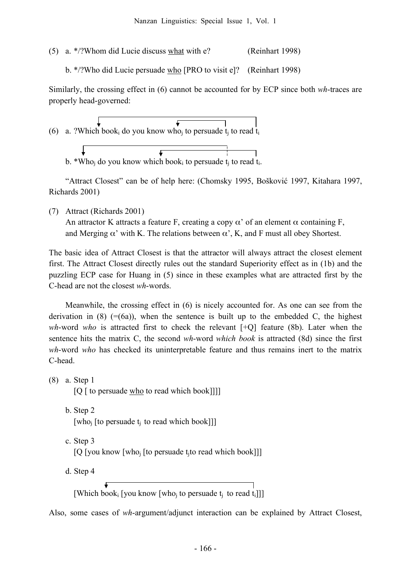(5) a. \*/?Whom did Lucie discuss what with e? (Reinhart 1998)

b. \*/?Who did Lucie persuade who [PRO to visit e]? (Reinhart 1998)

Similarly, the crossing effect in (6) cannot be accounted for by ECP since both *wh*-traces are properly head-governed:



b. \*Who<sub>j</sub> do you know which book<sub>i</sub> to persuade t<sub>j</sub> to read t<sub>i</sub>.

"Attract Closest" can be of help here: (Chomsky 1995, Bošković 1997, Kitahara 1997, Richards 2001)

(7) Attract (Richards 2001) An attractor K attracts a feature F, creating a copy  $\alpha'$  of an element  $\alpha$  containing F, and Merging  $\alpha'$  with K. The relations between  $\alpha'$ , K, and F must all obey Shortest.

The basic idea of Attract Closest is that the attractor will always attract the closest element first. The Attract Closest directly rules out the standard Superiority effect as in (1b) and the puzzling ECP case for Huang in (5) since in these examples what are attracted first by the C-head are not the closest *wh*-words.

Meanwhile, the crossing effect in (6) is nicely accounted for. As one can see from the derivation in (8)  $(=(6a))$ , when the sentence is built up to the embedded C, the highest *wh*-word *who* is attracted first to check the relevant [+Q] feature (8b). Later when the sentence hits the matrix C, the second *wh*-word *which book* is attracted (8d) since the first *wh*-word *who* has checked its uninterpretable feature and thus remains inert to the matrix C-head.

(8) a. Step 1 [Q [ to persuade who to read which book]]]]

- b. Step 2 [who<sub>i</sub> [to persuade  $t_i$  to read which book]]]
- c. Step 3 [Q [you know [who<sub>i</sub> [to persuade t<sub>i</sub>to read which book]]]

d. Step 4

[Which book<sub>i</sub> [you know [who<sub>i</sub> to persuade  $t_i$  to read  $t_i$ ]]]

Also, some cases of *wh*-argument/adjunct interaction can be explained by Attract Closest,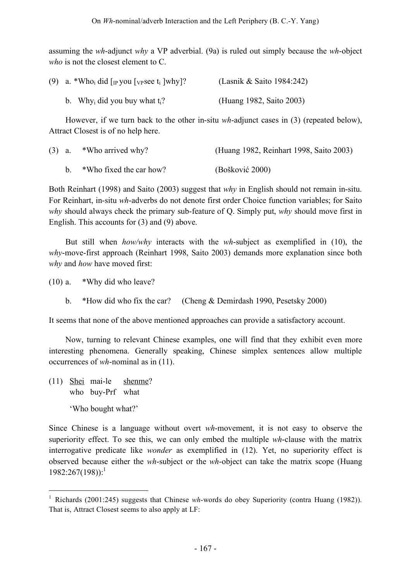assuming the *wh*-adjunct *why* a VP adverbial. (9a) is ruled out simply because the *wh*-object *who* is not the closest element to C.

| (9) a. *Who <sub>i</sub> did [ <sub>IP</sub> you [ <sub>VP</sub> see t <sub>i</sub> ]why]? | (Lasnik & Saito 1984:242) |
|--------------------------------------------------------------------------------------------|---------------------------|
| b. Why <sub>i</sub> did you buy what $t_i$ ?                                               | (Huang 1982, Saito 2003)  |

However, if we turn back to the other in-situ *wh*-adjunct cases in (3) (repeated below), Attract Closest is of no help here.

|  | $(3)$ a. *Who arrived why? | (Huang 1982, Reinhart 1998, Saito 2003) |
|--|----------------------------|-----------------------------------------|
|  | *Who fixed the car how?    | (Bošković 2000)                         |

Both Reinhart (1998) and Saito (2003) suggest that *why* in English should not remain in-situ. For Reinhart, in-situ *wh*-adverbs do not denote first order Choice function variables; for Saito *why* should always check the primary sub-feature of Q. Simply put, *why* should move first in English. This accounts for (3) and (9) above.

But still when *how/why* interacts with the *wh*-subject as exemplified in (10), the *why*-move-first approach (Reinhart 1998, Saito 2003) demands more explanation since both *why* and *how* have moved first:

(10) a. \*Why did who leave?

b. \*How did who fix the car? (Cheng & Demirdash 1990, Pesetsky 2000)

It seems that none of the above mentioned approaches can provide a satisfactory account.

Now, turning to relevant Chinese examples, one will find that they exhibit even more interesting phenomena. Generally speaking, Chinese simplex sentences allow multiple occurrences of *wh*-nominal as in (11).

(11) Shei mai-le shenme? who buy-Prf what 'Who bought what?'

Since Chinese is a language without overt *wh*-movement, it is not easy to observe the superiority effect. To see this, we can only embed the multiple *wh*-clause with the matrix interrogative predicate like *wonder* as exemplified in (12). Yet, no superiority effect is observed because either the *wh*-subject or the *wh*-object can take the matrix scope (Huang 1982:267(198)):<sup>1</sup>

 <sup>1</sup> Richards (2001:245) suggests that Chinese *wh*-words do obey Superiority (contra Huang (1982)). That is, Attract Closest seems to also apply at LF: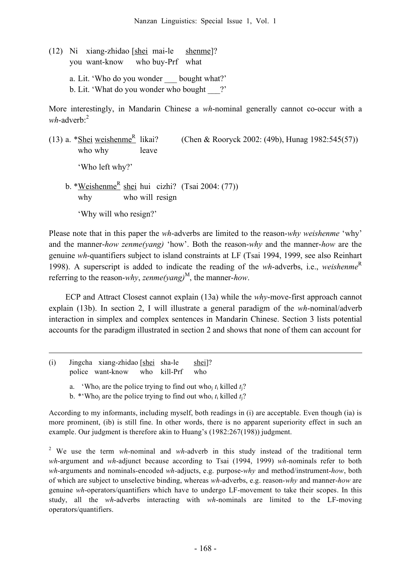(12) Ni xiang-zhidao [shei mai-le shenme]? you want-know who buy-Prf what a. Lit. 'Who do you wonder bought what?' b. Lit. 'What do you wonder who bought ?'

More interestingly, in Mandarin Chinese a *wh*-nominal generally cannot co-occur with a *wh*-adverb:<sup>2</sup>

(13) a. \*Shei weishenme<sup>R</sup> likai? (Chen & Rooryck 2002: (49b), Hunag  $1982:545(57)$ ) who why leave 'Who left why?' b. \*<u>Weishenme<sup>R</sup> shei</u> hui cizhi? (Tsai 2004: (77)) why who will resign 'Why will who resign?'

Please note that in this paper the *wh*-adverbs are limited to the reason-*why weishenme* 'why' and the manner-*how zenme(yang)* 'how'. Both the reason-*why* and the manner-*how* are the genuine *wh*-quantifiers subject to island constraints at LF (Tsai 1994, 1999, see also Reinhart 1998). A superscript is added to indicate the reading of the *wh*-adverbs, i.e., *weishenme* R referring to the reason-*why*, *zenme(yang*)<sup>M</sup>, the manner-*how*.

ECP and Attract Closest cannot explain (13a) while the *why*-move-first approach cannot explain (13b). In section 2, I will illustrate a general paradigm of the *wh*-nominal/adverb interaction in simplex and complex sentences in Mandarin Chinese. Section 3 lists potential accounts for the paradigm illustrated in section 2 and shows that none of them can account for

(i) Jingcha xiang-zhidao [shei sha-le shei]? police want-know who kill-Prf who

1

a. 'Who<sub>i</sub> are the police trying to find out who<sub>i</sub>  $t_i$  killed  $t_i$ ?

b. \*'Who<sub>i</sub> are the police trying to find out who<sub>i</sub>  $t_i$  killed  $t_i$ ?

According to my informants, including myself, both readings in (i) are acceptable. Even though (ia) is more prominent, (ib) is still fine. In other words, there is no apparent superiority effect in such an example. Our judgment is therefore akin to Huang's (1982:267(198)) judgment.

<sup>2</sup> We use the term *wh*-nominal and *wh*-adverb in this study instead of the traditional term *wh*-argument and *wh*-adjunct because according to Tsai (1994, 1999) *wh*-nominals refer to both *wh*-arguments and nominals-encoded *wh*-adjucts, e.g. purpose-*why* and method/instrument-*how*, both of which are subject to unselective binding, whereas *wh*-adverbs, e.g. reason-*why* and manner-*how* are genuine *wh*-operators/quantifiers which have to undergo LF-movement to take their scopes. In this study, all the *wh*-adverbs interacting with *wh*-nominals are limited to the LF-moving operators/quantifiers.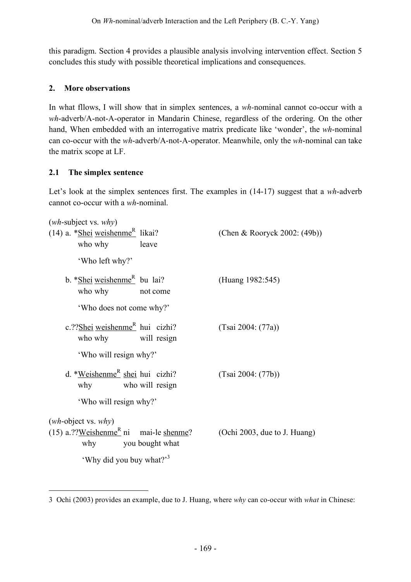this paradigm. Section 4 provides a plausible analysis involving intervention effect. Section 5 concludes this study with possible theoretical implications and consequences.

## **2. More observations**

In what fllows, I will show that in simplex sentences, a *wh-*nominal cannot co-occur with a *wh*-adverb/A-not-A-operator in Mandarin Chinese, regardless of the ordering. On the other hand, When embedded with an interrogative matrix predicate like 'wonder', the *wh*-nominal can co-occur with the *wh*-adverb/A-not-A-operator. Meanwhile, only the *wh*-nominal can take the matrix scope at LF.

# **2.1 The simplex sentence**

 $\overline{a}$ 

Let's look at the simplex sentences first. The examples in (14-17) suggest that a *wh*-adverb cannot co-occur with a *wh*-nominal.

| $(wh$ -subject vs. $why)$                                                   |                              |
|-----------------------------------------------------------------------------|------------------------------|
| $(14)$ a. *Shei weishenme <sup>R</sup> likai?<br>who why<br>leave           | (Chen & Rooryck 2002: (49b)) |
| 'Who left why?'                                                             |                              |
| b. *Shei weishenme <sup>R</sup> bu lai?<br>who why<br>not come              | (Huang 1982:545)             |
| 'Who does not come why?'                                                    |                              |
| c.?? $\text{Shei}$ weishenme <sup>R</sup> hui cizhi?<br>who why will resign | (Tsai 2004: (77a))           |
| 'Who will resign why?'                                                      |                              |
| d. * <u>Weishenme<sup>R</sup> shei</u> hui cizhi?<br>who will resign<br>why | (Tsai 2004: (77b))           |
| 'Who will resign why?'                                                      |                              |
| $(wh\text{-object vs. } why)$                                               |                              |
| $(15)$ a.??Weishenme <sup>R</sup> ni mai-le shenme?<br>why you bought what  | (Ochi 2003, due to J. Huang) |
| 'Why did you buy what?' <sup>3</sup>                                        |                              |

<sup>3</sup> Ochi (2003) provides an example, due to J. Huang, where *why* can co-occur with *what* in Chinese: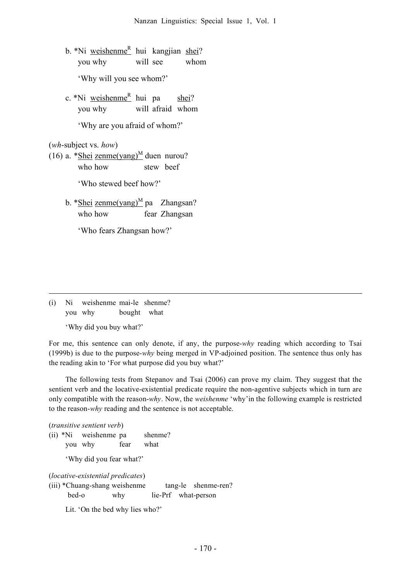b. \*Ni weishenme<sup>R</sup> hui kangjian shei? you why will see whom 'Why will you see whom?'

c. \*Ni weishenme<sup>R</sup> hui pa shei? you why will afraid whom

'Why are you afraid of whom?'

(*wh*-subject vs. *how*)

(16) a. \*Shei zenme(yang)<sup>M</sup> duen nurou? who how stew beef

'Who stewed beef how?'

b. \*Shei zenme(yang)<sup>M</sup> pa Zhangsan? who how fear Zhangsan

'Who fears Zhangsan how?'

(i) Ni weishenme mai-le shenme? you why bought what

'Why did you buy what?'

For me, this sentence can only denote, if any, the purpose-*why* reading which according to Tsai (1999b) is due to the purpose-*why* being merged in VP-adjoined position. The sentence thus only has the reading akin to 'For what purpose did you buy what?'

The following tests from Stepanov and Tsai (2006) can prove my claim. They suggest that the sentient verb and the locative-existential predicate require the non-agentive subjects which in turn are only compatible with the reason-*why*. Now, the *weishenme* 'why'in the following example is restricted to the reason-*why* reading and the sentence is not acceptable.

(*transitive sentient verb*)

<u>.</u>

(ii) \*Ni weishenme pa shenme? you why fear what

'Why did you fear what?'

(*locative-existential predicates*)

(iii) \*Chuang-shang weishenme tang-le shenme-ren? bed-o why lie-Prf what-person

Lit. 'On the bed why lies who?'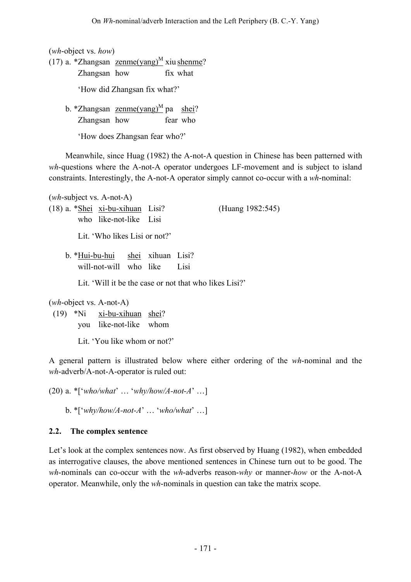(*wh*-object vs. *how*)

(17) a. \* Zhangsan zenme $(\text{yang})^M$  xiu shenme?

Zhangsan how fix what

'How did Zhangsan fix what?'

b. \*Zhangsan <u>zenme(yang)<sup>M</sup></u> pa <u>shei</u>? Zhangsan how fear who

'How does Zhangsan fear who?'

Meanwhile, since Huag (1982) the A-not-A question in Chinese has been patterned with *wh*-questions where the A-not-A operator undergoes LF-movement and is subject to island constraints. Interestingly, the A-not-A operator simply cannot co-occur with a *wh*-nominal:

(*wh*-subject vs. A-not-A) (18) a. \*Shei xi-bu-xihuan Lisi? (Huang 1982:545) who like-not-like Lisi Lit. 'Who likes Lisi or not?' b. \*Hui-bu-hui shei xihuan Lisi? will-not-will who like Lisi Lit. 'Will it be the case or not that who likes Lisi?' (*wh*-object vs. A-not-A)

(19) \*Ni xi-bu-xihuan shei? you like-not-like whom

Lit. 'You like whom or not?'

A general pattern is illustrated below where either ordering of the *wh*-nominal and the *wh*-adverb/A-not-A-operator is ruled out:

(20) a. \*['*who/what*' … '*why/how/A-not-A*' …]

b. \*['*why/how/A-not-A*' … '*who/what*' …]

## **2.2. The complex sentence**

Let's look at the complex sentences now. As first observed by Huang (1982), when embedded as interrogative clauses, the above mentioned sentences in Chinese turn out to be good. The *wh*-nominals can co-occur with the *wh*-adverbs reason-*why* or manner-*how* or the A-not-A operator. Meanwhile, only the *wh*-nominals in question can take the matrix scope.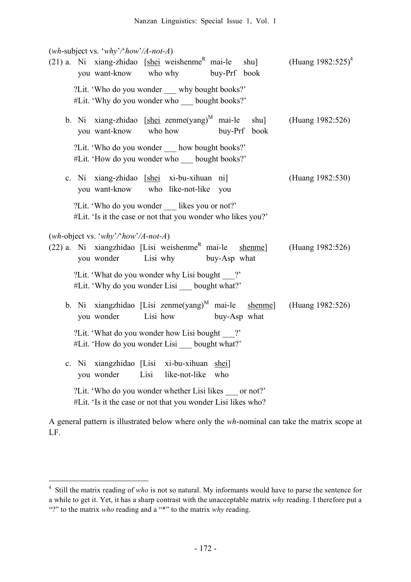(*wh*-subject vs. '*why*'*/*'*how*'*/A-not-A*)

| $(21)$ a. Ni xiang-zhidao [shei weishenme <sup>R</sup> mai-le shu]<br>you want-know<br>who why<br>buy-Prf book                                        | (Huang $1982:525$ ) <sup>4</sup> |
|-------------------------------------------------------------------------------------------------------------------------------------------------------|----------------------------------|
| ?Lit. 'Who do you wonder __ why bought books?'<br>#Lit. 'Why do you wonder who bought books?'                                                         |                                  |
| b. Ni xiang-zhidao [shei zenme(yang) <sup>M</sup> mai-le shu]<br>you want-know<br>who how<br>buy-Prf book                                             | (Huang 1982:526)                 |
| ?Lit. 'Who do you wonder how bought books?'<br>#Lit. 'How do you wonder who __ bought books?'                                                         |                                  |
| c. Ni xiang-zhidao [shei xi-bu-xihuan ni]<br>you want-know who like-not-like<br>you                                                                   | (Huang 1982:530)                 |
| ?Lit. 'Who do you wonder __ likes you or not?'<br>#Lit. 'Is it the case or not that you wonder who likes you?'                                        |                                  |
| (wh-object vs. 'why'/'how'/A-not-A)<br>$(22)$ a. Ni xiangzhidao [Lisi weishenme <sup>R</sup> mai-le<br>shenme]<br>you wonder Lisi why<br>buy-Asp what | (Huang 1982:526)                 |
| ? 2. Elit. 'What do you wonder why Lisi bought?'<br>#Lit. 'Why do you wonder Lisi __ bought what?'                                                    |                                  |
| b. Ni xiangzhidao [Lisi zenme(yang) <sup>M</sup> mai-le shenme]<br>Lisi how<br>you wonder<br>buy-Asp what                                             | (Huang 1982:526)                 |
| ?Lit. 'What do you wonder how Lisi bought ?'<br>#Lit. 'How do you wonder Lisi __ bought what?'                                                        |                                  |
| c. Ni xiangzhidao [Lisi xi-bu-xihuan shei]<br>Lisi like-not-like<br>you wonder<br>who                                                                 |                                  |
| ?Lit. 'Who do you wonder whether Lisi likes or not?'<br>#Lit. 'Is it the case or not that you wonder Lisi likes who?                                  |                                  |

A general pattern is illustrated below where only the *wh*-nominal can take the matrix scope at LF.

 <sup>4</sup> Still the matrix reading of *who* is not so natural. My informants would have to parse the sentence for a while to get it. Yet, it has a sharp contrast with the unacceptable matrix *why* reading. I therefore put a "?" to the matrix *who* reading and a "\*" to the matrix *why* reading.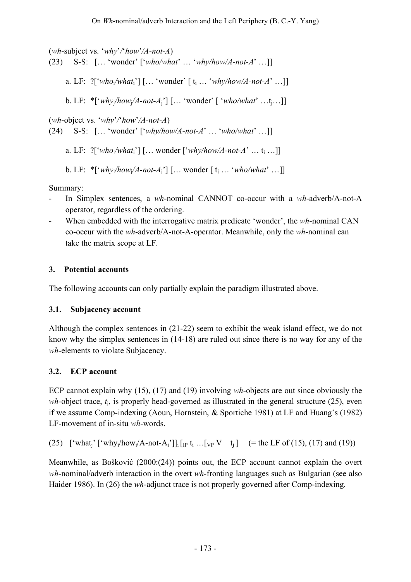(*wh*-subject vs. '*why*'*/*'*how*'*/A-not-A*)

(23) S-S: [… 'wonder' ['*who/what*' … '*why/how/A-not-A*' …]]

a. LF: ?['*who*i*/what*i'] [… 'wonder' [ ti … '*why/how/A-not-A*' …]]

b. LF: \*['*why*j*/how*j*/A-not-A*j'] [… 'wonder' [ '*who/what*' …tj…]]

(*wh*-object vs. '*why*'*/*'*how*'*/A-not-A*)

(24) S-S: [… 'wonder' ['*why/how/A-not-A*' … '*who/what*' …]]

a. LF: ?['*who*i*/what*i'] [… wonder ['*why/how/A-not-A*' … ti …]]

b. LF:  $*$ ['*why<sub>i</sub>*/how<sub>i</sub>/A-not-A<sub>i</sub>'] [... wonder  $[t_1, \ldots, t_k]$  *who/what*<sup>2</sup> ...]]

Summary:

- In Simplex sentences, a *wh*-nominal CANNOT co-occur with a *wh*-adverb/A-not-A operator, regardless of the ordering.
- When embedded with the interrogative matrix predicate 'wonder', the *wh*-nominal CAN co-occur with the *wh*-adverb/A-not-A-operator. Meanwhile, only the *wh*-nominal can take the matrix scope at LF.

## **3. Potential accounts**

The following accounts can only partially explain the paradigm illustrated above.

## **3.1. Subjacency account**

Although the complex sentences in (21-22) seem to exhibit the weak island effect, we do not know why the simplex sentences in (14-18) are ruled out since there is no way for any of the *wh*-elements to violate Subjacency.

## **3.2. ECP account**

ECP cannot explain why (15), (17) and (19) involving *wh*-objects are out since obviously the *wh*-object trace, *t*j, is properly head-governed as illustrated in the general structure (25), even if we assume Comp-indexing (Aoun, Hornstein, & Sportiche 1981) at LF and Huang's (1982) LF-movement of in-situ *wh*-words.

(25) 
$$
[`what_j`['why_i/how_i/A-not-A_i']]_i[p t_i ... [vp V t_j] (= the LF of (15), (17) and (19))
$$

Meanwhile, as Bošković (2000:(24)) points out, the ECP account cannot explain the overt *wh*-nominal/adverb interaction in the overt *wh*-fronting languages such as Bulgarian (see also Haider 1986). In (26) the *wh*-adjunct trace is not properly governed after Comp-indexing.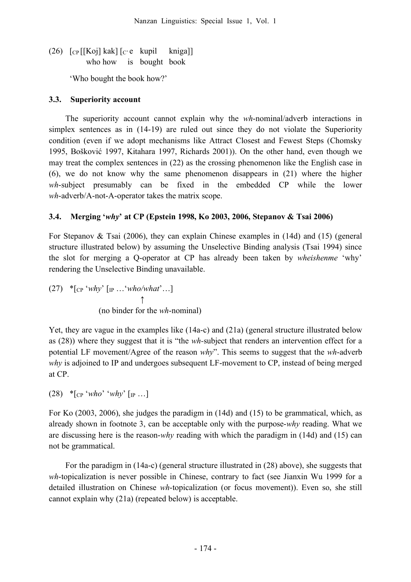(26)  $\lceil \frac{C_P}{K_Q} \rceil$  kak $\lceil \frac{C_P}{C_P} \rceil$  kupil kniga who how is bought book

'Who bought the book how?'

## **3.3. Superiority account**

The superiority account cannot explain why the *wh*-nominal/adverb interactions in simplex sentences as in (14-19) are ruled out since they do not violate the Superiority condition (even if we adopt mechanisms like Attract Closest and Fewest Steps (Chomsky 1995, Bošković 1997, Kitahara 1997, Richards 2001)). On the other hand, even though we may treat the complex sentences in (22) as the crossing phenomenon like the English case in (6), we do not know why the same phenomenon disappears in (21) where the higher *wh*-subject presumably can be fixed in the embedded CP while the lower *wh*-adverb/A-not-A-operator takes the matrix scope.

## **3.4. Merging '***why***' at CP (Epstein 1998, Ko 2003, 2006, Stepanov & Tsai 2006)**

For Stepanov & Tsai (2006), they can explain Chinese examples in (14d) and (15) (general structure illustrated below) by assuming the Unselective Binding analysis (Tsai 1994) since the slot for merging a Q-operator at CP has already been taken by *wheishenme* 'why' rendering the Unselective Binding unavailable.

(27) \*[CP '*why*' [IP …'*who/what*'…] ↑ (no binder for the *wh*-nominal)

Yet, they are vague in the examples like (14a-c) and (21a) (general structure illustrated below as (28)) where they suggest that it is "the *wh-*subject that renders an intervention effect for a potential LF movement/Agree of the reason *why*". This seems to suggest that the *wh*-adverb *why* is adjoined to IP and undergoes subsequent LF-movement to CP, instead of being merged at CP.

 $(28)$  \*  $\lceil_{CP}$  '*who*' '*why*'  $\lceil_{IP}$  ...

For Ko (2003, 2006), she judges the paradigm in (14d) and (15) to be grammatical, which, as already shown in footnote 3, can be acceptable only with the purpose-*why* reading. What we are discussing here is the reason-*why* reading with which the paradigm in (14d) and (15) can not be grammatical.

For the paradigm in (14a-c) (general structure illustrated in (28) above), she suggests that *wh*-topicalization is never possible in Chinese, contrary to fact (see Jianxin Wu 1999 for a detailed illustration on Chinese *wh*-topicalization (or focus movement)). Even so, she still cannot explain why (21a) (repeated below) is acceptable.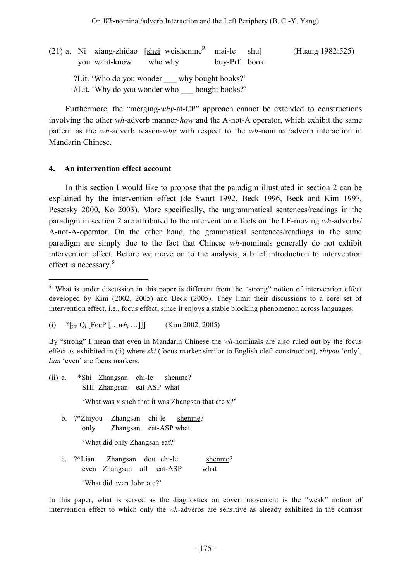(21) a. Ni xiang-zhidao [shei weishenme<sup>R</sup> mai-le shu] (Huang 1982:525) you want-know who why buy-Prf book ?Lit. 'Who do you wonder why bought books?' #Lit. 'Why do you wonder who \_\_\_ bought books?'

Furthermore, the "merging-*why*-at-CP" approach cannot be extended to constructions involving the other *wh*-adverb manner-*how* and the A-not-A operator, which exhibit the same pattern as the *wh*-adverb reason-*why* with respect to the *wh*-nominal/adverb interaction in Mandarin Chinese.

### **4. An intervention effect account**

In this section I would like to propose that the paradigm illustrated in section 2 can be explained by the intervention effect (de Swart 1992, Beck 1996, Beck and Kim 1997, Pesetsky 2000, Ko 2003). More specifically, the ungrammatical sentences/readings in the paradigm in section 2 are attributed to the intervention effects on the LF-moving *wh*-adverbs/ A-not-A-operator. On the other hand, the grammatical sentences/readings in the same paradigm are simply due to the fact that Chinese *wh*-nominals generally do not exhibit intervention effect. Before we move on to the analysis, a brief introduction to intervention effect is necessary. 5

By "strong" I mean that even in Mandarin Chinese the *wh*-nominals are also ruled out by the focus effect as exhibited in (ii) where *shi* (focus marker similar to English cleft construction), *zhiyou* 'only', *lian* 'even' are focus markers.

- (ii) a. \*Shi Zhangsan chi-le shenme? SHI Zhangsan eat-ASP what 'What was x such that it was Zhangsan that ate x?'
	- b. ?\*Zhiyou Zhangsan chi-le shenme? only Zhangsan eat-ASP what

'What did only Zhangsan eat?'

c. ?\*Lian Zhangsan dou chi-le shenme? even Zhangsan all eat-ASP what 'What did even John ate?'

In this paper, what is served as the diagnostics on covert movement is the "weak" notion of intervention effect to which only the *wh*-adverbs are sensitive as already exhibited in the contrast

<sup>&</sup>lt;sup>5</sup> What is under discussion in this paper is different from the "strong" notion of intervention effect developed by Kim (2002, 2005) and Beck (2005). They limit their discussions to a core set of intervention effect, i.e., focus effect, since it enjoys a stable blocking phenomenon across languages.

<sup>(</sup>i)  $*$ [<sub>CP</sub> Q<sub>i</sub> [FocP […*wh<sub>i</sub>* …]]] (Kim 2002, 2005)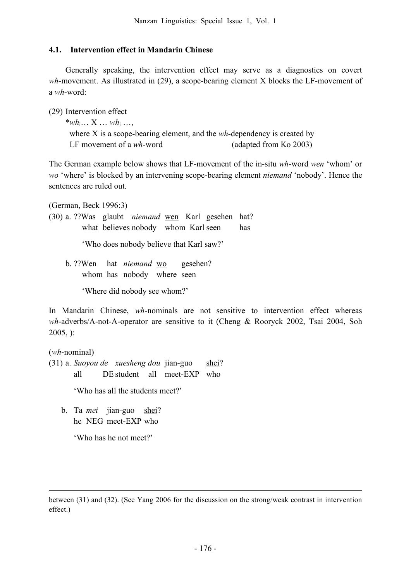### **4.1. Intervention effect in Mandarin Chinese**

Generally speaking, the intervention effect may serve as a diagnostics on covert *wh*-movement. As illustrated in (29), a scope-bearing element X blocks the LF-movement of a *wh*-word:

(29) Intervention effect

\**wh*i… X … *wh*<sup>i</sup> …, where X is a scope-bearing element, and the *wh*-dependency is created by LF movement of a *wh*-word (adapted from Ko 2003)

The German example below shows that LF-movement of the in-situ *wh*-word *wen* 'whom' or *wo* 'where' is blocked by an intervening scope-bearing element *niemand* 'nobody'. Hence the sentences are ruled out.

(German, Beck 1996:3)

(30) a. ??Was glaubt *niemand* wen Karl gesehen hat? what believes nobody whom Karl seen has

'Who does nobody believe that Karl saw?'

b. ??Wen hat *niemand* wo gesehen? whom has nobody where seen

'Where did nobody see whom?'

In Mandarin Chinese, *wh*-nominals are not sensitive to intervention effect whereas *wh*-adverbs/A-not-A-operator are sensitive to it (Cheng & Rooryck 2002, Tsai 2004, Soh 2005, ):

(*wh*-nominal)

<u>.</u>

(31) a. *Suoyou de xuesheng dou* jian-guo shei? all DE student all meet-EXP who

'Who has all the students meet?'

b. Ta *mei* jian-guo shei? he NEG meet-EXP who

'Who has he not meet?'

between (31) and (32). (See Yang 2006 for the discussion on the strong/weak contrast in intervention effect.)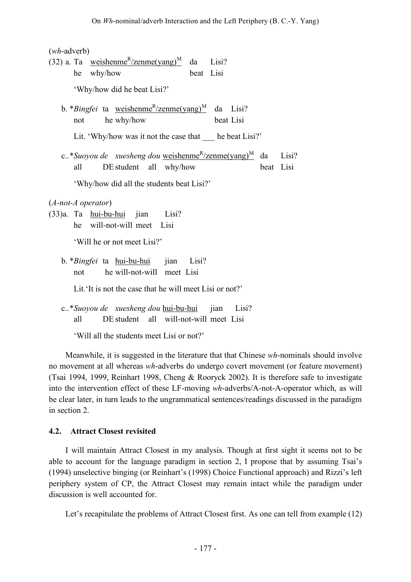(*wh*-adverb)

| $\frac{1}{2}$                                                                                                                       |  |
|-------------------------------------------------------------------------------------------------------------------------------------|--|
| (32) a. Ta weishenme <sup>R</sup> /zenme(yang) <sup>M</sup> da Lisi?                                                                |  |
| he why/how<br>beat Lisi                                                                                                             |  |
| 'Why/how did he beat Lisi?'                                                                                                         |  |
| b. <i>*Bingfei</i> ta <u>weishenme<sup>R</sup>/zenme(yang)<sup>M</sup> da Lisi</u> ?<br>he why/how<br>beat Lisi<br>not              |  |
| Lit. 'Why/how was it not the case that ____ he beat Lisi?'                                                                          |  |
| c*Suoyou de xuesheng dou weishenme <sup>R</sup> /zenme(yang) <sup>M</sup> da<br>Lisi?<br>beat Lisi<br>DE student all why/how<br>all |  |
| 'Why/how did all the students beat Lisi?'                                                                                           |  |
| $(A$ -not-A operator)                                                                                                               |  |
| (33)a. Ta hui-bu-hui jian Lisi?                                                                                                     |  |
| he will-not-will meet Lisi                                                                                                          |  |
| 'Will he or not meet Lisi?'                                                                                                         |  |
| b. * Bingfei ta hui-bu-hui jian Lisi?                                                                                               |  |
| he will-not-will meet Lisi<br>not                                                                                                   |  |
| Lit. It is not the case that he will meet Lisi or not?'                                                                             |  |
| c*Suoyou de xuesheng dou hui-bu-hui jian Lisi?                                                                                      |  |
| DE student all will-not-will meet Lisi<br>all                                                                                       |  |

'Will all the students meet Lisi or not?'

Meanwhile, it is suggested in the literature that that Chinese *wh*-nominals should involve no movement at all whereas *wh*-adverbs do undergo covert movement (or feature movement) (Tsai 1994, 1999, Reinhart 1998, Cheng & Rooryck 2002). It is therefore safe to investigate into the intervention effect of these LF-moving *wh*-adverbs/A-not-A-operator which, as will be clear later, in turn leads to the ungrammatical sentences/readings discussed in the paradigm in section 2.

### **4.2. Attract Closest revisited**

I will maintain Attract Closest in my analysis. Though at first sight it seems not to be able to account for the language paradigm in section 2, I propose that by assuming Tsai's (1994) unselective binging (or Reinhart's (1998) Choice Functional approach) and Rizzi's left periphery system of CP, the Attract Closest may remain intact while the paradigm under discussion is well accounted for.

Let's recapitulate the problems of Attract Closest first. As one can tell from example (12)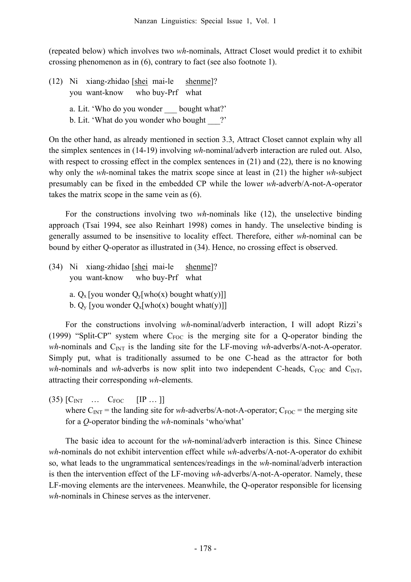(repeated below) which involves two *wh*-nominals, Attract Closet would predict it to exhibit crossing phenomenon as in (6), contrary to fact (see also footnote 1).

(12) Ni xiang-zhidao [shei mai-le shenme]? you want-know who buy-Prf what a. Lit. 'Who do you wonder bought what?'

b. Lit. 'What do you wonder who bought ?'

On the other hand, as already mentioned in section 3.3, Attract Closet cannot explain why all the simplex sentences in (14-19) involving *wh*-nominal/adverb interaction are ruled out. Also, with respect to crossing effect in the complex sentences in (21) and (22), there is no knowing why only the *wh*-nominal takes the matrix scope since at least in (21) the higher *wh*-subject presumably can be fixed in the embedded CP while the lower *wh*-adverb/A-not-A-operator takes the matrix scope in the same vein as (6).

For the constructions involving two *wh*-nominals like (12), the unselective binding approach (Tsai 1994, see also Reinhart 1998) comes in handy. The unselective binding is generally assumed to be insensitive to locality effect. Therefore, either *wh*-nominal can be bound by either Q-operator as illustrated in (34). Hence, no crossing effect is observed.

- (34) Ni xiang-zhidao [shei mai-le shenme]? you want-know who buy-Prf what
	- a.  $Q_x$  [you wonder  $Q_y$ [who(x) bought what(y)]]
	- b.  $Q_y$  [you wonder  $Q_x[who(x)$  bought what(y)]]

For the constructions involving *wh*-nominal/adverb interaction, I will adopt Rizzi's (1999) "Split-CP" system where  $C_{FOC}$  is the merging site for a Q-operator binding the *wh*-nominals and C<sub>INT</sub> is the landing site for the LF-moving *wh*-adverbs/A-not-A-operator. Simply put, what is traditionally assumed to be one C-head as the attractor for both *wh*-nominals and *wh*-adverbs is now split into two independent C-heads,  $C_{FOC}$  and  $C_{INT}$ , attracting their corresponding *wh*-elements.

 $(35)$   $[C_{INT}$  …  $C_{FOC}$   $[IP...]$ where  $C_{INT}$  = the landing site for *wh*-adverbs/A-not-A-operator;  $C_{FOC}$  = the merging site for a *Q*-operator binding the *wh*-nominals 'who/what'

The basic idea to account for the *wh*-nominal/adverb interaction is this. Since Chinese *wh*-nominals do not exhibit intervention effect while *wh*-adverbs/A-not-A-operator do exhibit so, what leads to the ungrammatical sentences/readings in the *wh*-nominal/adverb interaction is then the intervention effect of the LF-moving *wh*-adverbs/A-not-A-operator. Namely, these LF-moving elements are the intervenees. Meanwhile, the Q-operator responsible for licensing *wh*-nominals in Chinese serves as the intervener.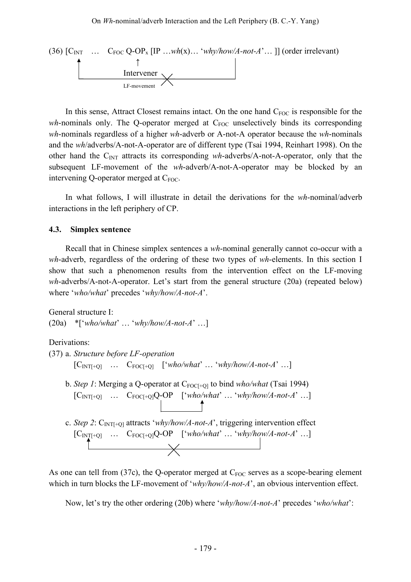

In this sense, Attract Closest remains intact. On the one hand  $C_{FOC}$  is responsible for the  $wh$ -nominals only. The Q-operator merged at  $C_{FOC}$  unselectively binds its corresponding *wh*-nominals regardless of a higher *wh*-adverb or A-not-A operator because the *wh*-nominals and the *wh*/adverbs/A-not-A-operator are of different type (Tsai 1994, Reinhart 1998). On the other hand the CINT attracts its corresponding *wh*-adverbs/A-not-A-operator, only that the subsequent LF-movement of the *wh*-adverb/A-not-A-operator may be blocked by an intervening Q-operator merged at  $C_{FOC}$ .

In what follows, I will illustrate in detail the derivations for the *wh*-nominal/adverb interactions in the left periphery of CP.

### **4.3. Simplex sentence**

Recall that in Chinese simplex sentences a *wh*-nominal generally cannot co-occur with a *wh*-adverb, regardless of the ordering of these two types of *wh*-elements. In this section I show that such a phenomenon results from the intervention effect on the LF-moving *wh*-adverbs/A-not-A-operator. Let's start from the general structure (20a) (repeated below) where '*who/what*' precedes '*why/how/A-not-A*'.

General structure I:

(20a) \*['*who/what*' … '*why/how/A-not-A*' …]

Derivations:

```
(37) a. Structure before LF-operation
  [C_{\text{INT}+Q}] ... C_{\text{FOC}+Q} ['who/what' ... 'why/how/A-not-A' ...]
```
- b. *Step 1*: Merging a Q-operator at C<sub>FOC[+Q]</sub> to bind *who/what* (Tsai 1994)  $[C_{\text{INT}[\pm Q]}$   $\ldots$   $C_{\text{FOC}[\pm Q]}Q\text{-OP}$   $[`who/what' \ldots 'why/how/A-not-A' \ldots]$
- c. *Step 2*: CINT[+Q] attracts '*why/how/A-not-A*', triggering intervention effect  $[C_{\text{INT}+Q}]$  ...  $C_{\text{FOC}+Q}Q\text{-OP}$   $[`who/what' ... 'why/how/A-not-A' ...]$

As one can tell from  $(37c)$ , the Q-operator merged at  $C_{FOC}$  serves as a scope-bearing element which in turn blocks the LF-movement of '*why/how/A-not-A*', an obvious intervention effect.

Now, let's try the other ordering (20b) where '*why/how/A-not-A*' precedes '*who/what*':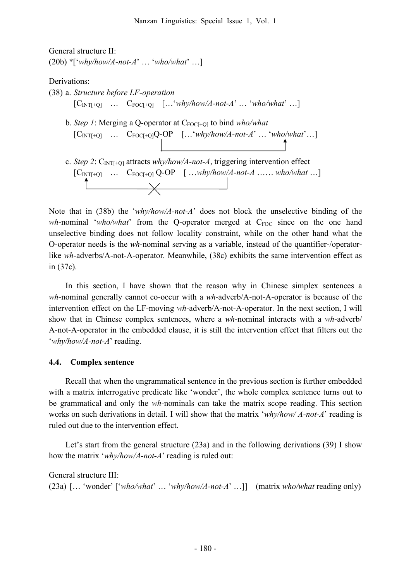General structure II: (20b) \*['*why/how/A-not-A*' … '*who/what*' …]

Derivations:

```
(38) a. Structure before LF-operation
   [C_{INT[+Q]} ... C_{FOC[+Q]} [...'why/how/A-not-A' ...'who/what' ...]
b. Step 1: Merging a Q-operator at C<sub>FOC[+O]</sub> to bind who/what
   \begin{bmatrix} C_{\text{INT}[\text{+Q}]} & \dots & C_{\text{FOC}[\text{+Q}]}Q\text{-}\text{OP} & [\dots \text{`}why/how/A\text{-not-A'}\dots \text{`}who/what'\dots] \end{bmatrix}c. Step 2: C<sub>INT[+Q]</sub> attracts why/how/A-not-A, triggering intervention effect
   [C_{INT[+Q]} ... C_{FOC[+Q]} Q-OP [...why/how/A-not-A ... who/what ...
          \overbrace{\phantom{aaaaa}}
```
Note that in (38b) the '*why/how/A-not-A*' does not block the unselective binding of the *wh*-nominal '*who/what*' from the Q-operator merged at C<sub>FOC</sub> since on the one hand unselective binding does not follow locality constraint, while on the other hand what the O-operator needs is the *wh*-nominal serving as a variable, instead of the quantifier-/operatorlike *wh*-adverbs/A-not-A-operator. Meanwhile, (38c) exhibits the same intervention effect as in (37c).

In this section, I have shown that the reason why in Chinese simplex sentences a *wh*-nominal generally cannot co-occur with a *wh*-adverb/A-not-A-operator is because of the intervention effect on the LF-moving *wh*-adverb/A-not-A-operator. In the next section, I will show that in Chinese complex sentences, where a *wh*-nominal interacts with a *wh*-adverb/ A-not-A-operator in the embedded clause, it is still the intervention effect that filters out the '*why/how/A-not-A*' reading.

### **4.4. Complex sentence**

Recall that when the ungrammatical sentence in the previous section is further embedded with a matrix interrogative predicate like 'wonder', the whole complex sentence turns out to be grammatical and only the *wh*-nominals can take the matrix scope reading. This section works on such derivations in detail. I will show that the matrix '*why/how/ A-not-A*' reading is ruled out due to the intervention effect.

Let's start from the general structure (23a) and in the following derivations (39) I show how the matrix '*why/how/A-not-A*' reading is ruled out:

General structure III: (23a) [… 'wonder' ['*who/what*' … '*why/how/A-not-A*' …]] (matrix *who/what* reading only)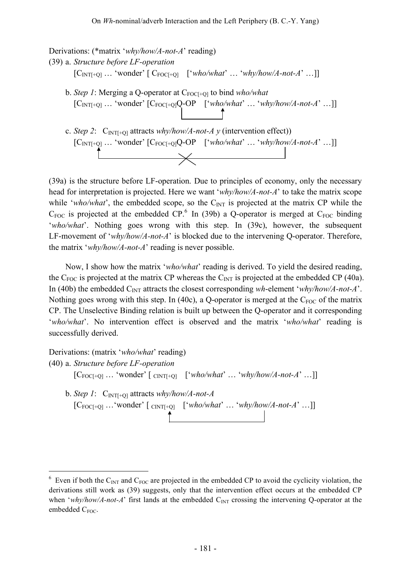Derivations: (\*matrix '*why/how/A-not-A*' reading) (39) a. *Structure before LF-operation*  $[C_{INT+Q}]$  ... 'wonder'  $[C_{FOC[+Q]}$  ['*who/what*' ... '*why/how/A-not-A*' ...]] b. *Step 1*: Merging a Q-operator at C<sub>FOC[+0]</sub> to bind *who/what*  $[C_{INT[+Q]} \dots 'wonder' [C_{FOC[+Q]}Q-OP [`who/what' \dots 'why/how/A-not-A' \dots]]$ c. *Step 2*:  $C_{INT[+Q]}$  attracts *why/how/A-not-A y* (intervention effect))  $[C_{INT[+Q]} \dots 'wonder' [C_{FOC[+Q]}Q-OP [`who/what' ... 'why/how/A-not-A' ...]]$ 

(39a) is the structure before LF-operation. Due to principles of economy, only the necessary head for interpretation is projected. Here we want '*why/how/A-not-A*' to take the matrix scope while '*who/what*', the embedded scope, so the  $C_{\text{INT}}$  is projected at the matrix CP while the  $C_{\text{FOC}}$  is projected at the embedded CP.<sup>6</sup> In (39b) a Q-operator is merged at  $C_{\text{FOC}}$  binding '*who/what*'. Nothing goes wrong with this step. In (39c), however, the subsequent LF-movement of '*why/how/A-not-A*' is blocked due to the intervening Q-operator. Therefore, the matrix '*why/how/A-not-A*' reading is never possible.

Now, I show how the matrix '*who/what*' reading is derived. To yield the desired reading, the  $C_{\text{FOC}}$  is projected at the matrix CP whereas the  $C_{\text{INT}}$  is projected at the embedded CP (40a). In (40b) the embedded C<sub>INT</sub> attracts the closest corresponding *wh*-element '*why/how/A-not-A*'. Nothing goes wrong with this step. In (40c), a Q-operator is merged at the  $C_{FOC}$  of the matrix CP. The Unselective Binding relation is built up between the Q-operator and it corresponding '*who/what*'. No intervention effect is observed and the matrix '*who/what*' reading is successfully derived.

Derivations: (matrix '*who/what*' reading) (40) a. *Structure before LF-operation*  $[C_{\text{FOC}[\pm Q]} \dots '$  wonder'  $[\text{CNT}[\pm Q] \quad [`who/what' \dots 'why/how/A-not-A' \dots]]$ b. *Step 1*:  $C_{\text{INT}+Q1}$  attracts *why/how/A-not-A*  $[C_{\text{FOC}[\pm Q]} \dots'$  wonder'  $[\text{cnrt}[\pm Q] \quad [\text{'who/what'} \dots' \text{why/how/A-not-A'} \dots]]$ 

 $6$  Even if both the C<sub>INT</sub> and C<sub>FOC</sub> are projected in the embedded CP to avoid the cyclicity violation, the derivations still work as (39) suggests, only that the intervention effect occurs at the embedded CP when '*why/how/A-not-A*' first lands at the embedded C<sub>INT</sub> crossing the intervening Q-operator at the embedded C<sub>FOC</sub>.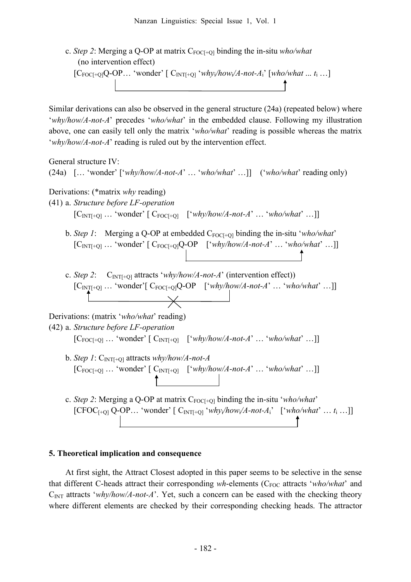c. *Step 2*: Merging a Q-OP at matrix C<sub>FOC[+Q]</sub> binding the in-situ *who/what* (no intervention effect)  $[Coroc[+Q]Q-OP...$  'wonder'  $[Coroc[+Q]Q-OP...$ '  $\downarrow$   $Coroc[+Q]Q-OP...$ '  $\downarrow$   $Coroc[+Q]Q-OP...$ '  $\downarrow$ 

Similar derivations can also be observed in the general structure (24a) (repeated below) where '*why/how/A-not-A*' precedes '*who/what*' in the embedded clause. Following my illustration above, one can easily tell only the matrix '*who/what*' reading is possible whereas the matrix '*why/how/A-not-A*' reading is ruled out by the intervention effect.



### **5. Theoretical implication and consequence**

At first sight, the Attract Closest adopted in this paper seems to be selective in the sense that different C-heads attract their corresponding *wh*-elements (C<sub>FOC</sub> attracts '*who/what*' and C<sub>INT</sub> attracts '*why/how/A-not-A*'. Yet, such a concern can be eased with the checking theory where different elements are checked by their corresponding checking heads. The attractor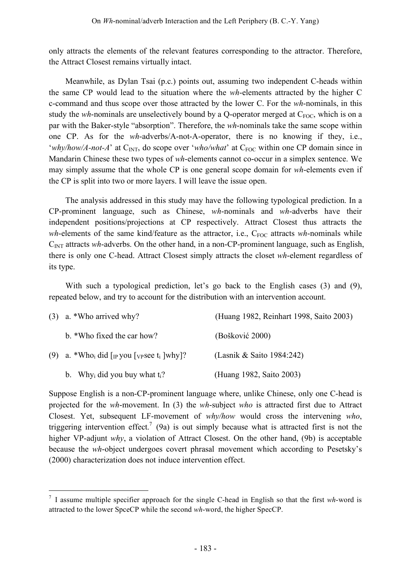only attracts the elements of the relevant features corresponding to the attractor. Therefore, the Attract Closest remains virtually intact.

Meanwhile, as Dylan Tsai (p.c.) points out, assuming two independent C-heads within the same CP would lead to the situation where the *wh*-elements attracted by the higher C c-command and thus scope over those attracted by the lower C. For the *wh*-nominals, in this study the *wh*-nominals are unselectively bound by a Q-operator merged at  $C_{FOC}$ , which is on a par with the Baker-style "absorption". Therefore, the *wh*-nominals take the same scope within one CP. As for the *wh*-adverbs/A-not-A-operator, there is no knowing if they, i.e., '*why/how/A-not-A*' at  $C_{\text{INT}}$ , do scope over '*who/what*' at  $C_{\text{FOC}}$  within one CP domain since in Mandarin Chinese these two types of *wh*-elements cannot co-occur in a simplex sentence. We may simply assume that the whole CP is one general scope domain for *wh*-elements even if the CP is split into two or more layers. I will leave the issue open.

The analysis addressed in this study may have the following typological prediction. In a CP-prominent language, such as Chinese, *wh*-nominals and *wh*-adverbs have their independent positions/projections at CP respectively. Attract Closest thus attracts the *wh*-elements of the same kind/feature as the attractor, i.e., C<sub>FOC</sub> attracts *wh*-nominals while C<sub>INT</sub> attracts *wh*-adverbs. On the other hand, in a non-CP-prominent language, such as English, there is only one C-head. Attract Closest simply attracts the closet *wh*-element regardless of its type.

With such a typological prediction, let's go back to the English cases (3) and (9), repeated below, and try to account for the distribution with an intervention account.

| $(3)$ a. *Who arrived why?                                                                 | (Huang 1982, Reinhart 1998, Saito 2003) |
|--------------------------------------------------------------------------------------------|-----------------------------------------|
| b. *Who fixed the car how?                                                                 | (Bošković 2000)                         |
| (9) a. *Who <sub>i</sub> did [ <sub>IP</sub> you [ <sub>VP</sub> see t <sub>i</sub> ]why]? | (Lasnik & Saito 1984:242)               |
| b. Why <sub>i</sub> did you buy what $t_i$ ?                                               | (Huang 1982, Saito 2003)                |

Suppose English is a non-CP-prominent language where, unlike Chinese, only one C-head is projected for the *wh*-movement. In (3) the *wh*-subject *who* is attracted first due to Attract Closest. Yet, subsequent LF-movement of *why/how* would cross the intervening *who*, triggering intervention effect.<sup>7</sup> (9a) is out simply because what is attracted first is not the higher VP-adjunt *why*, a violation of Attract Closest. On the other hand, (9b) is acceptable because the *wh*-object undergoes covert phrasal movement which according to Pesetsky's (2000) characterization does not induce intervention effect.

 <sup>7</sup> <sup>I</sup> assume multiple specifier approach for the single C-head in English so that the first *wh*-word is attracted to the lower SpceCP while the second *wh*-word, the higher SpecCP.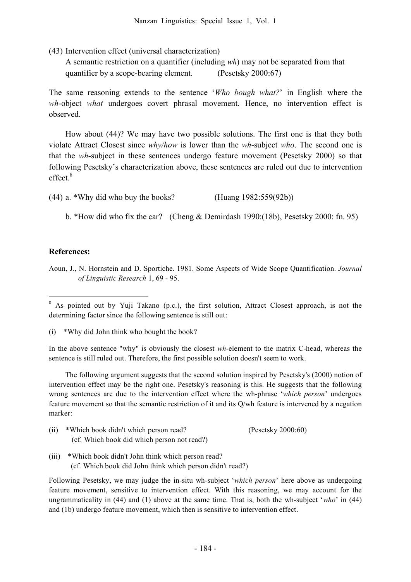(43) Intervention effect (universal characterization)

A semantic restriction on a quantifier (including *wh*) may not be separated from that quantifier by a scope-bearing element. (Pesetsky 2000:67)

The same reasoning extends to the sentence '*Who bough what?*' in English where the *wh*-object *what* undergoes covert phrasal movement. Hence, no intervention effect is observed.

How about (44)? We may have two possible solutions. The first one is that they both violate Attract Closest since *why/how* is lower than the *wh*-subject *who*. The second one is that the *wh*-subject in these sentences undergo feature movement (Pesetsky 2000) so that following Pesetsky's characterization above, these sentences are ruled out due to intervention effect. 8

(44) a. \*Why did who buy the books? (Huang 1982:559(92b))

b. \*How did who fix the car? (Cheng & Demirdash 1990:(18b), Pesetsky 2000: fn. 95)

#### **References:**

Aoun, J., N. Hornstein and D. Sportiche. 1981. Some Aspects of Wide Scope Quantification. *Journal of Linguistic Research* 1, 69 - 95.

In the above sentence "why" is obviously the closest *wh*-element to the matrix C-head, whereas the sentence is still ruled out. Therefore, the first possible solution doesn't seem to work.

The following argument suggests that the second solution inspired by Pesetsky's (2000) notion of intervention effect may be the right one. Pesetsky's reasoning is this. He suggests that the following wrong sentences are due to the intervention effect where the wh-phrase '*which person*' undergoes feature movement so that the semantic restriction of it and its Q/wh feature is intervened by a negation marker:

| (ii) | *Which book didn't which person read?       | (Pesetsky 2000:60) |
|------|---------------------------------------------|--------------------|
|      | (cf. Which book did which person not read?) |                    |

(iii) \*Which book didn't John think which person read? (cf. Which book did John think which person didn't read?)

Following Pesetsky, we may judge the in-situ wh-subject '*which person*' here above as undergoing feature movement, sensitive to intervention effect. With this reasoning, we may account for the ungrammaticality in (44) and (1) above at the same time. That is, both the wh-subject '*who*' in (44) and (1b) undergo feature movement, which then is sensitive to intervention effect.

<sup>&</sup>lt;sup>8</sup> As pointed out by Yuji Takano (p.c.), the first solution, Attract Closest approach, is not the determining factor since the following sentence is still out:

<sup>(</sup>i) \*Why did John think who bought the book?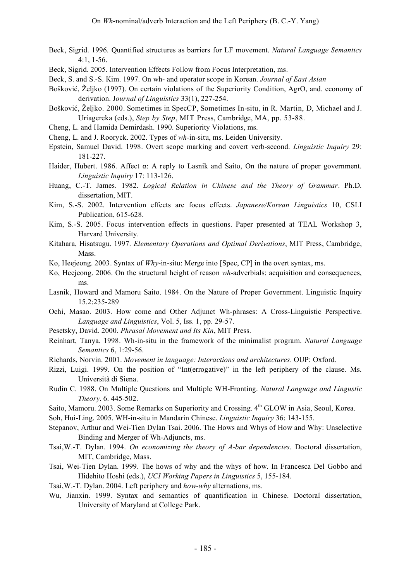- Beck, Sigrid. 1996. Quantified structures as barriers for LF movement. *Natural Language Semantics* 4:1, 1-56.
- Beck, Sigrid. 2005. Intervention Effects Follow from Focus Interpretation, ms.
- Beck, S. and S.-S. Kim. 1997. On wh- and operator scope in Korean. *Journal of East Asian*
- Bošković, Željko (1997). On certain violations of the Superiority Condition, AgrO, and. economy of derivation. J*ournal of Linguistics* 33(1), 227-254.
- Bošković, Željko. 2000. Sometimes in SpecCP, Sometimes In-situ, in R. Martin, D, Michael and J. Uriagereka (eds.), *Step by Step*, MIT Press, Cambridge, MA, pp. 53-88.
- Cheng, L. and Hamida Demirdash. 1990. Superiority Violations, ms.
- Cheng, L. and J. Rooryck. 2002. Types of *wh*-in-situ, ms. Leiden University.
- Epstein, Samuel David. 1998. Overt scope marking and covert verb-second. *Linguistic Inquiry* 29: 181-227.
- Haider, Hubert. 1986. Affect α: A reply to Lasnik and Saito, On the nature of proper government. *Linguistic Inquiry* 17: 113-126.
- Huang, C.-T. James. 1982. *Logical Relation in Chinese and the Theory of Grammar*. Ph.D. dissertation, MIT.
- Kim, S.-S. 2002. Intervention effects are focus effects. *Japanese/Korean Linguistics* 10, CSLI Publication, 615-628.
- Kim, S.-S. 2005. Focus intervention effects in questions. Paper presented at TEAL Workshop 3, Harvard University.
- Kitahara, Hisatsugu. 1997. *Elementary Operations and Optimal Derivations*, MIT Press, Cambridge, Mass.
- Ko, Heejeong. 2003. Syntax of *Why*-in-situ: Merge into [Spec, CP] in the overt syntax, ms.
- Ko, Heejeong. 2006. On the structural height of reason *wh*-adverbials: acquisition and consequences, ms.
- Lasnik, Howard and Mamoru Saito. 1984. On the Nature of Proper Government. Linguistic Inquiry 15.2:235-289
- Ochi, Masao. 2003. How come and Other Adjunct Wh-phrases: A Cross-Linguistic Perspective. *Language and Linguistics*, Vol. 5, Iss. 1, pp. 29-57.
- Pesetsky, David. 2000. *Phrasal Movement and Its Kin*, MIT Press.
- Reinhart, Tanya. 1998. Wh-in-situ in the framework of the minimalist program. *Natural Language Semantics* 6, 1:29-56.
- Richards, Norvin. 2001. *Movement in language: Interactions and architectures*. OUP: Oxford.
- Rizzi, Luigi. 1999. On the position of "Int(errogative)" in the left periphery of the clause. Ms. Università di Siena.
- Rudin C. 1988. On Multiple Questions and Multiple WH-Fronting*. Natural Language and Lingustic Theory.* 6. 445-502.
- Saito, Mamoru. 2003. Some Remarks on Superiority and Crossing. 4<sup>th</sup> GLOW in Asia, Seoul, Korea.

Soh, Hui-Ling. 2005. WH-in-situ in Mandarin Chinese. *Linguistic Inquiry* 36: 143-155.

- Stepanov, Arthur and Wei-Tien Dylan Tsai. 2006. The Hows and Whys of How and Why: Unselective Binding and Merger of Wh-Adjuncts, ms.
- Tsai,W.-T. Dylan. 1994. *On economizing the theory of A-bar dependencies*. Doctoral dissertation, MIT, Cambridge, Mass.
- Tsai, Wei-Tien Dylan. 1999. The hows of why and the whys of how. In Francesca Del Gobbo and Hidehito Hoshi (eds.), *UCI Working Papers in Linguistics* 5, 155-184.
- Tsai,W.-T. Dylan. 2004. Left periphery and *how-why* alternations, ms.
- Wu, Jianxin. 1999. Syntax and semantics of quantification in Chinese. Doctoral dissertation, University of Maryland at College Park.